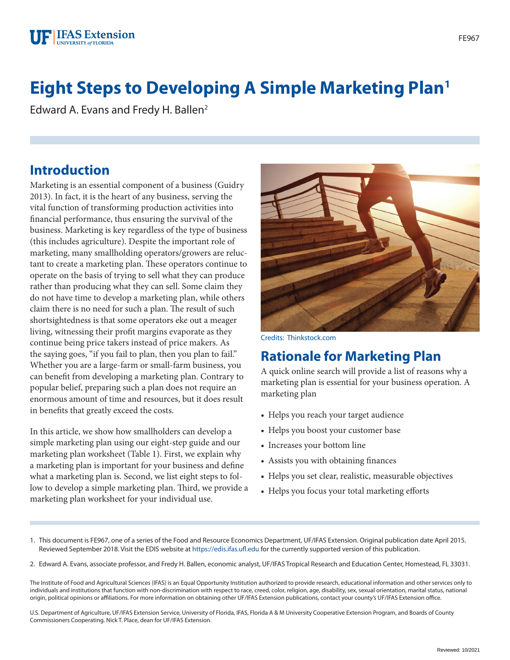#### **F IFAS Extension UNIVERSITY of FLORIDA**

# **Eight Steps to Developing A Simple Marketing Plan1**

Edward A. Evans and Fredy H. Ballen<sup>2</sup>

### **Introduction**

Marketing is an essential component of a business (Guidry 2013). In fact, it is the heart of any business, serving the vital function of transforming production activities into financial performance, thus ensuring the survival of the business. Marketing is key regardless of the type of business (this includes agriculture). Despite the important role of marketing, many smallholding operators/growers are reluctant to create a marketing plan. These operators continue to operate on the basis of trying to sell what they can produce rather than producing what they can sell. Some claim they do not have time to develop a marketing plan, while others claim there is no need for such a plan. The result of such shortsightedness is that some operators eke out a meager living, witnessing their profit margins evaporate as they continue being price takers instead of price makers. As the saying goes, "if you fail to plan, then you plan to fail." Whether you are a large-farm or small-farm business, you can benefit from developing a marketing plan. Contrary to popular belief, preparing such a plan does not require an enormous amount of time and resources, but it does result in benefits that greatly exceed the costs.

In this article, we show how smallholders can develop a simple marketing plan using our eight-step guide and our marketing plan worksheet (Table 1). First, we explain why a marketing plan is important for your business and define what a marketing plan is. Second, we list eight steps to follow to develop a simple marketing plan. Third, we provide a marketing plan worksheet for your individual use.



Credits: Thinkstock.com

### **Rationale for Marketing Plan**

A quick online search will provide a list of reasons why a marketing plan is essential for your business operation. A marketing plan

- Helps you reach your target audience
- Helps you boost your customer base
- Increases your bottom line
- Assists you with obtaining finances
- Helps you set clear, realistic, measurable objectives
- Helps you focus your total marketing efforts
- 1. This document is FE967, one of a series of the Food and Resource Economics Department, UF/IFAS Extension. Original publication date April 2015. Reviewed September 2018. Visit the EDIS website at <https://edis.ifas.ufl.edu> for the currently supported version of this publication.
- 2. Edward A. Evans, associate professor, and Fredy H. Ballen, economic analyst, UF/IFAS Tropical Research and Education Center, Homestead, FL 33031.

The Institute of Food and Agricultural Sciences (IFAS) is an Equal Opportunity Institution authorized to provide research, educational information and other services only to individuals and institutions that function with non-discrimination with respect to race, creed, color, religion, age, disability, sex, sexual orientation, marital status, national origin, political opinions or affiliations. For more information on obtaining other UF/IFAS Extension publications, contact your county's UF/IFAS Extension office.

U.S. Department of Agriculture, UF/IFAS Extension Service, University of Florida, IFAS, Florida A & M University Cooperative Extension Program, and Boards of County Commissioners Cooperating. Nick T. Place, dean for UF/IFAS Extension.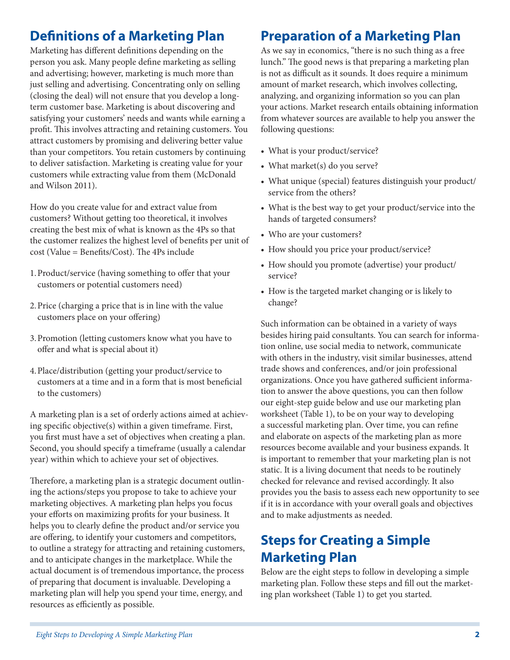# **Definitions of a Marketing Plan**

Marketing has different definitions depending on the person you ask. Many people define marketing as selling and advertising; however, marketing is much more than just selling and advertising. Concentrating only on selling (closing the deal) will not ensure that you develop a longterm customer base. Marketing is about discovering and satisfying your customers' needs and wants while earning a profit. This involves attracting and retaining customers. You attract customers by promising and delivering better value than your competitors. You retain customers by continuing to deliver satisfaction. Marketing is creating value for your customers while extracting value from them (McDonald and Wilson 2011).

How do you create value for and extract value from customers? Without getting too theoretical, it involves creating the best mix of what is known as the 4Ps so that the customer realizes the highest level of benefits per unit of cost (Value = Benefits/Cost). The 4Ps include

- 1.Product/service (having something to offer that your customers or potential customers need)
- 2.Price (charging a price that is in line with the value customers place on your offering)
- 3.Promotion (letting customers know what you have to offer and what is special about it)
- 4.Place/distribution (getting your product/service to customers at a time and in a form that is most beneficial to the customers)

A marketing plan is a set of orderly actions aimed at achieving specific objective(s) within a given timeframe. First, you first must have a set of objectives when creating a plan. Second, you should specify a timeframe (usually a calendar year) within which to achieve your set of objectives.

Therefore, a marketing plan is a strategic document outlining the actions/steps you propose to take to achieve your marketing objectives. A marketing plan helps you focus your efforts on maximizing profits for your business. It helps you to clearly define the product and/or service you are offering, to identify your customers and competitors, to outline a strategy for attracting and retaining customers, and to anticipate changes in the marketplace. While the actual document is of tremendous importance, the process of preparing that document is invaluable. Developing a marketing plan will help you spend your time, energy, and resources as efficiently as possible.

## **Preparation of a Marketing Plan**

As we say in economics, "there is no such thing as a free lunch." The good news is that preparing a marketing plan is not as difficult as it sounds. It does require a minimum amount of market research, which involves collecting, analyzing, and organizing information so you can plan your actions. Market research entails obtaining information from whatever sources are available to help you answer the following questions:

- What is your product/service?
- What market(s) do you serve?
- What unique (special) features distinguish your product/ service from the others?
- What is the best way to get your product/service into the hands of targeted consumers?
- Who are your customers?
- How should you price your product/service?
- How should you promote (advertise) your product/ service?
- How is the targeted market changing or is likely to change?

Such information can be obtained in a variety of ways besides hiring paid consultants. You can search for information online, use social media to network, communicate with others in the industry, visit similar businesses, attend trade shows and conferences, and/or join professional organizations. Once you have gathered sufficient information to answer the above questions, you can then follow our eight-step guide below and use our marketing plan worksheet (Table 1), to be on your way to developing a successful marketing plan. Over time, you can refine and elaborate on aspects of the marketing plan as more resources become available and your business expands. It is important to remember that your marketing plan is not static. It is a living document that needs to be routinely checked for relevance and revised accordingly. It also provides you the basis to assess each new opportunity to see if it is in accordance with your overall goals and objectives and to make adjustments as needed.

## **Steps for Creating a Simple Marketing Plan**

Below are the eight steps to follow in developing a simple marketing plan. Follow these steps and fill out the marketing plan worksheet (Table 1) to get you started.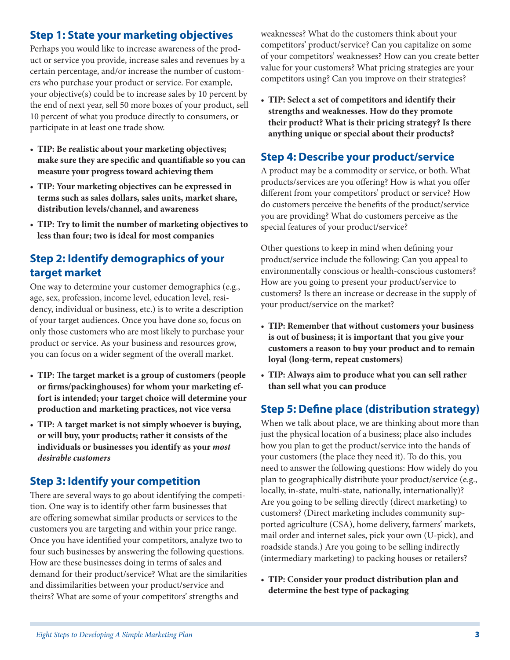#### **Step 1: State your marketing objectives**

Perhaps you would like to increase awareness of the product or service you provide, increase sales and revenues by a certain percentage, and/or increase the number of customers who purchase your product or service. For example, your objective(s) could be to increase sales by 10 percent by the end of next year, sell 50 more boxes of your product, sell 10 percent of what you produce directly to consumers, or participate in at least one trade show.

- **TIP: Be realistic about your marketing objectives; make sure they are specific and quantifiable so you can measure your progress toward achieving them**
- **TIP: Your marketing objectives can be expressed in terms such as sales dollars, sales units, market share, distribution levels/channel, and awareness**
- **TIP: Try to limit the number of marketing objectives to less than four; two is ideal for most companies**

#### **Step 2: Identify demographics of your target market**

One way to determine your customer demographics (e.g., age, sex, profession, income level, education level, residency, individual or business, etc.) is to write a description of your target audiences. Once you have done so, focus on only those customers who are most likely to purchase your product or service. As your business and resources grow, you can focus on a wider segment of the overall market.

- **TIP: The target market is a group of customers (people or firms/packinghouses) for whom your marketing effort is intended; your target choice will determine your production and marketing practices, not vice versa**
- **TIP: A target market is not simply whoever is buying, or will buy, your products; rather it consists of the individuals or businesses you identify as your** *most desirable customers*

#### **Step 3: Identify your competition**

There are several ways to go about identifying the competition. One way is to identify other farm businesses that are offering somewhat similar products or services to the customers you are targeting and within your price range. Once you have identified your competitors, analyze two to four such businesses by answering the following questions. How are these businesses doing in terms of sales and demand for their product/service? What are the similarities and dissimilarities between your product/service and theirs? What are some of your competitors' strengths and

weaknesses? What do the customers think about your competitors' product/service? Can you capitalize on some of your competitors' weaknesses? How can you create better value for your customers? What pricing strategies are your competitors using? Can you improve on their strategies?

• **TIP: Select a set of competitors and identify their strengths and weaknesses. How do they promote their product? What is their pricing strategy? Is there anything unique or special about their products?**

#### **Step 4: Describe your product/service**

A product may be a commodity or service, or both. What products/services are you offering? How is what you offer different from your competitors' product or service? How do customers perceive the benefits of the product/service you are providing? What do customers perceive as the special features of your product/service?

Other questions to keep in mind when defining your product/service include the following: Can you appeal to environmentally conscious or health-conscious customers? How are you going to present your product/service to customers? Is there an increase or decrease in the supply of your product/service on the market?

- **TIP: Remember that without customers your business is out of business; it is important that you give your customers a reason to buy your product and to remain loyal (long-term, repeat customers)**
- **TIP: Always aim to produce what you can sell rather than sell what you can produce**

#### **Step 5: Define place (distribution strategy)**

When we talk about place, we are thinking about more than just the physical location of a business; place also includes how you plan to get the product/service into the hands of your customers (the place they need it). To do this, you need to answer the following questions: How widely do you plan to geographically distribute your product/service (e.g., locally, in-state, multi-state, nationally, internationally)? Are you going to be selling directly (direct marketing) to customers? (Direct marketing includes community supported agriculture (CSA), home delivery, farmers' markets, mail order and internet sales, pick your own (U-pick), and roadside stands.) Are you going to be selling indirectly (intermediary marketing) to packing houses or retailers?

• **TIP: Consider your product distribution plan and determine the best type of packaging**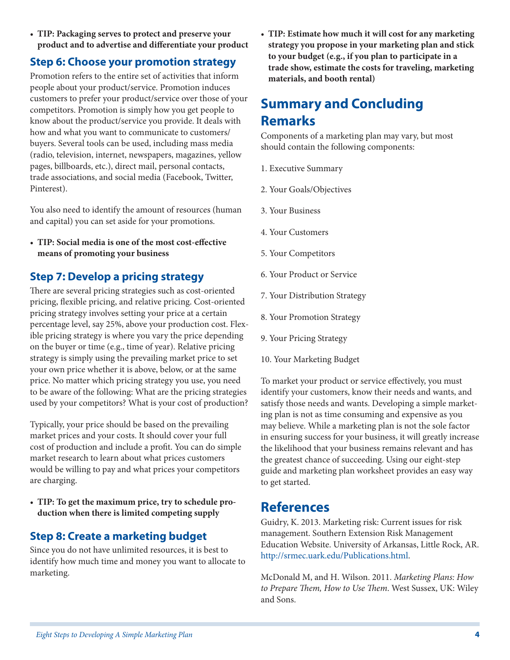• **TIP: Packaging serves to protect and preserve your product and to advertise and differentiate your product**

#### **Step 6: Choose your promotion strategy**

Promotion refers to the entire set of activities that inform people about your product/service. Promotion induces customers to prefer your product/service over those of your competitors. Promotion is simply how you get people to know about the product/service you provide. It deals with how and what you want to communicate to customers/ buyers. Several tools can be used, including mass media (radio, television, internet, newspapers, magazines, yellow pages, billboards, etc.), direct mail, personal contacts, trade associations, and social media (Facebook, Twitter, Pinterest).

You also need to identify the amount of resources (human and capital) you can set aside for your promotions.

• **TIP: Social media is one of the most cost-effective means of promoting your business**

#### **Step 7: Develop a pricing strategy**

There are several pricing strategies such as cost-oriented pricing, flexible pricing, and relative pricing. Cost-oriented pricing strategy involves setting your price at a certain percentage level, say 25%, above your production cost. Flexible pricing strategy is where you vary the price depending on the buyer or time (e.g., time of year). Relative pricing strategy is simply using the prevailing market price to set your own price whether it is above, below, or at the same price. No matter which pricing strategy you use, you need to be aware of the following: What are the pricing strategies used by your competitors? What is your cost of production?

Typically, your price should be based on the prevailing market prices and your costs. It should cover your full cost of production and include a profit. You can do simple market research to learn about what prices customers would be willing to pay and what prices your competitors are charging.

• **TIP: To get the maximum price, try to schedule production when there is limited competing supply**

#### **Step 8: Create a marketing budget**

Since you do not have unlimited resources, it is best to identify how much time and money you want to allocate to marketing.

• **TIP: Estimate how much it will cost for any marketing strategy you propose in your marketing plan and stick to your budget (e.g., if you plan to participate in a trade show, estimate the costs for traveling, marketing materials, and booth rental)**

### **Summary and Concluding Remarks**

Components of a marketing plan may vary, but most should contain the following components:

- 1. Executive Summary
- 2. Your Goals/Objectives
- 3. Your Business
- 4. Your Customers
- 5. Your Competitors
- 6. Your Product or Service
- 7. Your Distribution Strategy
- 8. Your Promotion Strategy
- 9. Your Pricing Strategy
- 10. Your Marketing Budget

To market your product or service effectively, you must identify your customers, know their needs and wants, and satisfy those needs and wants. Developing a simple marketing plan is not as time consuming and expensive as you may believe. While a marketing plan is not the sole factor in ensuring success for your business, it will greatly increase the likelihood that your business remains relevant and has the greatest chance of succeeding. Using our eight-step guide and marketing plan worksheet provides an easy way to get started.

### **References**

Guidry, K. 2013. Marketing risk: Current issues for risk management. Southern Extension Risk Management Education Website. University of Arkansas, Little Rock, AR. <http://srmec.uark.edu/Publications.html>.

McDonald M, and H. Wilson. 2011. *Marketing Plans: How to Prepare Them, How to Use Them*. West Sussex, UK: Wiley and Sons.